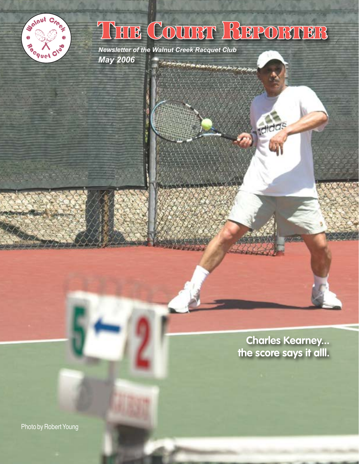

## THE COURT REPORTER

*Newsletter of the Walnut Creek Racquet Club May 2006* e de la partida de la construcción de la partida de la partida de la partida de la partida de la partida de l

> **Charles Kearney... the score says it alll.**

**Ididas** 

Photo by Robert Young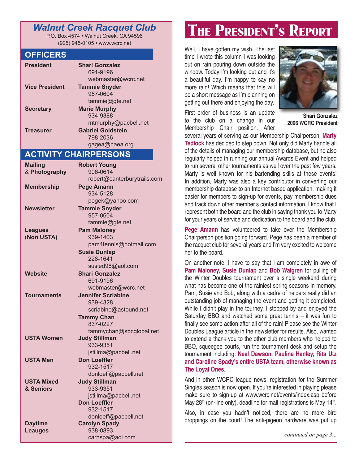## *Walnut Creek Racquet Club*

P.O. Box 4574 • Walnut Creek, CA 94596 (925) 945-0105 • www.wcrc.net

### **OFFICERS**

| <b>President</b>      | <b>Shari Gonzalez</b>    |
|-----------------------|--------------------------|
|                       | 691-9196                 |
|                       | webmaster@wcrc.net       |
| <b>Vice President</b> | <b>Tammie Snyder</b>     |
|                       | 957-0604                 |
|                       | tammie@gte.net           |
| <b>Secretary</b>      | <b>Marie Murphy</b>      |
|                       | 934-9388                 |
|                       | mtmurphy@pacbell.net     |
| <b>Treasurer</b>      | <b>Gabriel Goldstein</b> |
|                       | 798-2036                 |
|                       | gagea@naea.org           |

## **ACTIVITY CHAIRPERSONS**

| <b>Mailing</b>                   | <b>Robert Young</b>                          |  |
|----------------------------------|----------------------------------------------|--|
| & Photography                    | 906-0614                                     |  |
|                                  | robert@canterburytrails.com                  |  |
| <b>Membership</b>                | <b>Pege Amann</b>                            |  |
|                                  | 934-5128                                     |  |
|                                  | pegek@yahoo.com                              |  |
| <b>Newsletter</b>                | <b>Tammie Snyder</b>                         |  |
|                                  | 957-0604                                     |  |
|                                  | tammie@gte.net                               |  |
| <b>Leagues</b>                   | <b>Pam Maloney</b>                           |  |
| (Non USTA)                       | 939-1403                                     |  |
|                                  | pam4tennis@hotmail.com                       |  |
|                                  | <b>Susie Dunlap</b>                          |  |
|                                  | 228-1641                                     |  |
|                                  | susied98@aol.com                             |  |
| Website                          | <b>Shari Gonzalez</b>                        |  |
|                                  | 691-9196                                     |  |
|                                  | webmaster@wcrc.net                           |  |
| <b>Tournaments</b>               | <b>Jennifer Scriabine</b>                    |  |
|                                  | 939-4328                                     |  |
|                                  | scriabine@astound.net                        |  |
|                                  | <b>Tammy Chan</b>                            |  |
|                                  | 837-0227                                     |  |
|                                  | tammychan@sbcglobal.net                      |  |
| <b>USTA Women</b>                | <b>Judy Stillman</b>                         |  |
|                                  | 933-9351                                     |  |
|                                  | jstillma@pacbell.net                         |  |
| USTA Men                         | <b>Don Loeffler</b>                          |  |
|                                  | 932-1517                                     |  |
|                                  | donloeff@pacbell.net                         |  |
| <b>USTA Mixed</b>                | <b>Judy Stillman</b>                         |  |
| & Seniors                        | 933-9351                                     |  |
|                                  | jstillma@pacbell.net                         |  |
|                                  | <b>Don Loeffler</b>                          |  |
|                                  | 932-1517                                     |  |
|                                  | donloeff@pacbell.net<br><b>Carolyn Spady</b> |  |
| <b>Daytime</b><br><b>Leauges</b> | 938-0893                                     |  |
|                                  | carhspa@aol.com                              |  |
|                                  |                                              |  |

## THE PRESIDENT'S REPORT

Well, I have gotten my wish. The last time I wrote this column I was looking out on rain pouring down outside the window. Today I'm looking out and it's a beautiful day. I'm happy to say no more rain! Which means that this will be a short message as I'm planning on getting out there and enjoying the day.

First order of business is an update to the club on a change in our Membership Chair position. After



**Shari Gonzalez 2006 WCRC President**

several years of serving as our Membership Chairperson, **Marty Tedlock** has decided to step down. Not only did Marty handle all of the details of managing our membership database, but he also regularly helped in running our annual Awards Event and helped to run several other tournaments as well over the past few years. Marty is well known for his bartending skills at these events! In addition, Marty was also a key contributor in converting our membership database to an Internet based application, making it easier for members to sign-up for events, pay membership dues and track down other member's contact information. I know that I represent both the board and the club in saying thank you to Marty for your years of service and dedication to the board and the club.

**Pege Amann** has volunteered to take over the Membership Chairperson position going forward. Pege has been a member of the racquet club for several years and I'm very excited to welcome her to the board.

On another note, I have to say that I am completely in awe of **Pam Maloney, Susie Dunlap** and **Bob Walgren** for pulling off the Winter Doubles tournament over a single weekend during what has become one of the rainiest spring seasons in memory. Pam, Susie and Bob, along with a cadre of helpers really did an outstanding job of managing the event and getting it completed. While I didn't play in the tourney, I stopped by and enjoyed the Saturday BBQ and watched some great tennis – it was fun to finally see some action after all of the rain! Please see the Winter Doubles League article in the newsletter for results. Also, wanted to extend a thank-you to the other club members who helped to BBQ, squeegee courts, run the tournament desk and setup the tournament including: **Neal Dawson, Pauline Hanley, Rita Utz and Caroline Spady's entire USTA team, otherwise known as The Loyal Ones**.

And in other WCRC league news, registration for the Summer Singles season is now open. If you're interested in playing please make sure to sign-up at www.wcrc.net/events/index.asp before May 28<sup>th</sup> (on-line only), deadline for mail registrations is May 14<sup>th</sup>.

Also, in case you hadn't noticed, there are no more bird droppings on the court! The anti-pigeon hardware was put up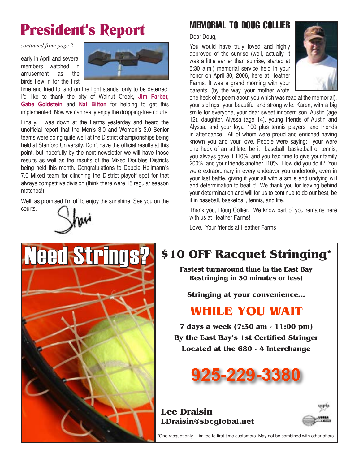## President's Report

*continued from page 2*

early in April and several members watched in amusement as the birds flew in for the first



time and tried to land on the light stands, only to be deterred. I'd like to thank the city of Walnut Creek, **Jim Farber, Gabe Goldstein** and **Nat Bitton** for helping to get this implemented. Now we can really enjoy the dropping-free courts.

Finally, I was down at the Farms yesterday and heard the unofficial report that the Men's 3.0 and Women's 3.0 Senior teams were doing quite well at the District championships being held at Stanford University. Don't have the official results at this point, but hopefully by the next newsletter we will have those results as well as the results of the Mixed Doubles Districts being held this month. Congratulations to Debbie Hellmann's 7.0 Mixed team for clinching the District playoff spot for that always competitive division (think there were 15 regular season matches!).

Well, as promised I'm off to enjoy the sunshine. See you on the courts.



**Need Stri** 



## MEMORIAL TO DOUG COLLIER

Dear Doug,

You would have truly loved and highly approved of the sunrise (well, actually, it was a little earlier than sunrise, started at 5:30 a.m.) memorial service held in your honor on April 30, 2006, here at Heather Farms. It was a grand morning with your parents, (by the way, your mother wrote



one heck of a poem about you which was read at the memorial), your siblings, your beautiful and strong wife, Karen, with a big smile for everyone, your dear sweet innocent son, Austin (age 12), daughter, Alyssa (age 14), young friends of Austin and Alyssa, and your loyal 100 plus tennis players, and friends in attendance. All of whom were proud and enriched having known you and your love. People were saying: your were one heck of an athlete, be it baseball, basketball or tennis, you always gave it 110%, and you had time to give your family 200%, and your friends another 110%. How did you do it? You were extraordinary in every endeavor you undertook, even in your last battle, giving it your all with a smile and undying will and determination to beat it! We thank you for leaving behind your determination and will for us to continue to do our best, be it in baseball, basketball, tennis, and life.

Thank you, Doug Collier. We know part of you remains here with us at Heather Farms!

Love, Your friends at Heather Farms



**Fastest turnaround time in the East Bay Restringing in 30 minutes or less!**

**Stringing at your convenience...**

## **WHILE YOU WAIT**

**7 days a week (7:30 am - 11:00 pm) By the East Bay's 1st Certified Stringer Located at the 680 - 4 Interchange**



**Lee Draisin LDraisin@sbcglobal.net**



\*One racquet only. Limited to first-time customers. May not be combined with other offers.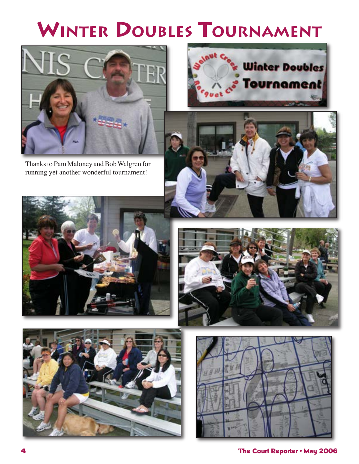## **WINTER DOUBLES TOURNAMENT**



Thanks to Pam Maloney and Bob Walgren for running yet another wonderful tournament!











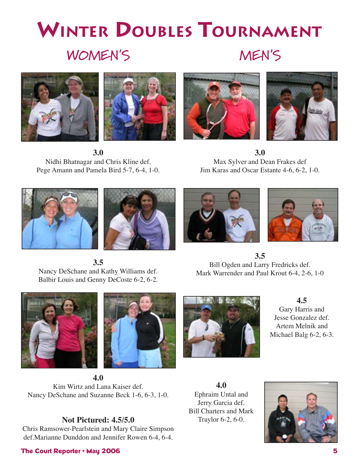## **WINTER DOUBLES TOURNAMENT WOMEN'S MEN'S**





**3.0** Nidhi Bhatnagar and Chris Kline def. Pege Amann and Pamela Bird 5-7, 6-4, 1-0.





**3.0** Max Sylver and Dean Frakes def Jim Karas and Oscar Estante 4-6, 6-2, 1-0.









**3.5** Bill Ogden and Larry Fredricks def. Mark Warrender and Paul Krout 6-4, 2-6, 1-0

Nancy DeSchane and Kathy Williams def. Balbir Louis and Genny DeCoste 6-2, 6-2.

**3.5**





**4.0** Kim Wirtz and Lana Kaiser def. Nancy DeSchane and Suzanne Beck 1-6, 6-3, 1-0.

## **Not Pictured: 4.5/5.0**

Chris Ramsower-Pearlstein and Mary Claire Simpson def.Marianne Dunddon and Jennifer Rowen 6-4, 6-4.

# **4.0** Ephraim Untal and



**4.5** Gary Harris and Jesse Gonzalez def. Artem Melnik and Michael Balg 6-2, 6-3.

Jerry Garcia def. Bill Charters and Mark Traylor 6-2, 6-0.



#### **4 The Court Reporter • May 2006 5** The Court Reporter **1999 5**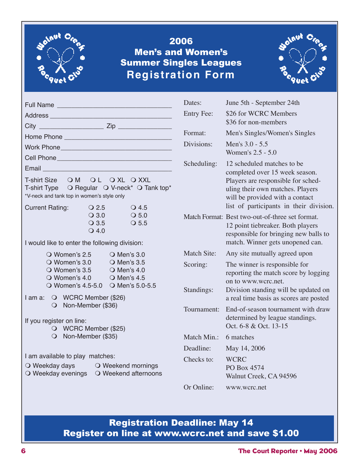

## 2006 Men's and Women's Summer Singles Leagues **Registration Form**



| Full Name Later and Contract and Contract and Contract and Contract and Contract and Contract and Contract and       | Dates:            |                |
|----------------------------------------------------------------------------------------------------------------------|-------------------|----------------|
|                                                                                                                      | <b>Entry Fee:</b> |                |
|                                                                                                                      |                   |                |
|                                                                                                                      | Format:           |                |
| Work Phone Management Contract and Contract of the Management Contract and Contract of the United States             | Divisions:        |                |
|                                                                                                                      |                   |                |
| Email et al. 2003 and 2004 and 2005 and 2007 and 2007 and 2007 and 2007 and 2007 and 2007 and 2007 and 2007 and      | Scheduling:       |                |
| T-shirt Size OM OL OXL OXXL                                                                                          |                   |                |
| T-shirt Type O Regular O V-neck* O Tank top*                                                                         |                   |                |
| *V-neck and tank top in women's style only                                                                           |                   |                |
| $\overline{\smash{\bigcirc}}$ 2.5<br>$\bigcirc$ 4.5<br><b>Current Rating:</b><br>$\overline{O}3.0$<br>$\bigcirc$ 5.0 |                   |                |
| $\overline{\smash{\bigcirc}}\,$ 3.5<br>$\bigcirc$ 5.5                                                                | Match Format: I   |                |
| $Q$ 4.0                                                                                                              |                   |                |
| I would like to enter the following division:                                                                        |                   | Ť              |
| O Women's $2.5$ O Men's $3.0$                                                                                        | Match Site:       |                |
| O Women's 3.0 O Men's 3.5<br>O Women's 3.5 O Men's 4.0                                                               | Scoring:          |                |
| O Women's 4.0 O Men's 4.5                                                                                            |                   | ľ              |
| O Women's 4.5-5.0 O Men's 5.0-5.5                                                                                    | Standings:        | $\overline{C}$ |
| I am a: O WCRC Member (\$26)                                                                                         |                   |                |
| O Non-Member (\$36)                                                                                                  | Tournament:       | ł              |
| If you register on line:                                                                                             |                   |                |
| O WCRC Member (\$25)                                                                                                 |                   |                |
| O Non-Member (\$35)                                                                                                  | Match Min.:       |                |
|                                                                                                                      | Deadline:         |                |
| I am available to play matches:                                                                                      | Checks to:        |                |
| O Weekday days O Weekend mornings<br>O Weekday evenings O Weekend afternoons                                         |                   |                |
|                                                                                                                      | Or Online:        |                |
|                                                                                                                      |                   |                |

| Dates:             | June 5th - September 24th                                                                                                                                                                                            |
|--------------------|----------------------------------------------------------------------------------------------------------------------------------------------------------------------------------------------------------------------|
| <b>Entry Fee:</b>  | \$26 for WCRC Members<br>\$36 for non-members                                                                                                                                                                        |
| Format:            | Men's Singles/Women's Singles                                                                                                                                                                                        |
| Divisions:         | Men's 3.0 - 5.5<br>Women's 2.5 - 5.0                                                                                                                                                                                 |
| Scheduling:        | 12 scheduled matches to be<br>completed over 15 week season.<br>Players are responsible for sched-<br>uling their own matches. Players<br>will be provided with a contact<br>list of participants in their division. |
|                    | Match Format: Best two-out-of-three set format.<br>12 point tiebreaker. Both players<br>responsible for bringing new balls to<br>match. Winner gets unopened can.                                                    |
| <b>Match Site:</b> | Any site mutually agreed upon                                                                                                                                                                                        |
| Scoring:           | The winner is responsible for<br>reporting the match score by logging<br>on to www.wcrc.net.                                                                                                                         |
| Standings:         | Division standing will be updated on<br>a real time basis as scores are posted                                                                                                                                       |
| Tournament:        | End-of-season tournament with draw<br>determined by league standings.<br>Oct. 6-8 & Oct. 13-15                                                                                                                       |
| Match Min.:        | 6 matches                                                                                                                                                                                                            |
| Deadline:          | May 14, 2006                                                                                                                                                                                                         |
| Checks to:         | <b>WCRC</b><br>PO Box 4574<br>Walnut Creek, CA 94596                                                                                                                                                                 |
| Or Online:         | www.wcrc.net                                                                                                                                                                                                         |

## Registration Deadline: May 14 Register on line at www.wcrc.net and save \$1.00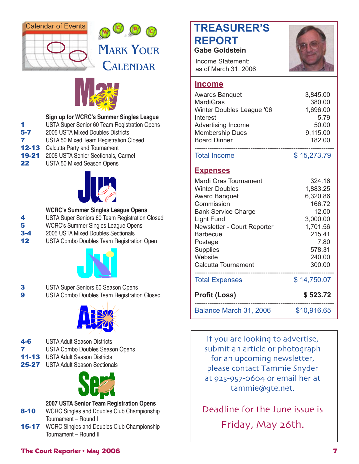



## **MARK YOUR** CALENDAR



#### **Sign up for WCRC's Summer Singles League**

- 1 USTA Super Senior 60 Team Registration Opens
- **5-7** 2005 USTA Mixed Doubles Districts
- **7** USTA 50 Mixed Team Registration Closed
- **12-13** Calcutta Party and Tournament
- 19-21 2005 USTA Senior Sectionals, Carmel
- 22 USTA 50 Mixed Season Opens



#### **WCRC's Summer Singles League Opens**

- 4 USTA Super Seniors 60 Team Registration Closed
- **5** WCRC's Summer Singles League Opens
- 3-4 2005 USTA Mixed Doubles Sectionals
- 12 USTA Combo Doubles Team Registration Open



- 3 USTA Super Seniors 60 Season Opens
- 9 USTA Combo Doubles Team Registration Closed



- 4-6 USTA Adult Season Districts
- 7 USTA Combo Doubles Season Opens
- 11-13 USTA Adult Season Districts
- 25-27 USTA Adult Season Sectionals



### **2007 USTA Senior Team Registration Opens**

- 8-10 WCRC Singles and Doubles Club Championship Tournament – Round I
- **15-17** WCRC Singles and Doubles Club Championship Tournament – Round II

## **TREASURER'S REPORT**



Income Statement: as of March 31, 2006



### **Income**

| <b>Awards Banquet</b>     | 3,845.00 |
|---------------------------|----------|
| <b>MardiGras</b>          | 380.00   |
| Winter Doubles League '06 | 1,696.00 |
| Interest                  | 5 7 9    |
| <b>Advertising Income</b> | 50.00    |
| <b>Membership Dues</b>    | 9,115.00 |
| <b>Board Dinner</b>       | 182.00   |
|                           |          |

Total Income \$ 15,273.79

## **Expenses**

| Mardi Gras Tournament<br>Winter Doubles<br><b>Award Banquet</b><br>Commission<br><b>Bank Service Charge</b><br>Light Fund<br>Newsletter - Court Reporter<br><b>Barbecue</b><br>Postage<br><b>Supplies</b> | 324.16<br>1,883.25<br>6,320.86<br>166.72<br>12.00<br>3,000.00<br>1,701.56<br>215.41<br>7.80<br>578.31 |
|-----------------------------------------------------------------------------------------------------------------------------------------------------------------------------------------------------------|-------------------------------------------------------------------------------------------------------|
| Website<br>Calcutta Tournament                                                                                                                                                                            | 240.00<br>300.00                                                                                      |
| <b>Total Expenses</b>                                                                                                                                                                                     | \$14,750.07                                                                                           |
| <b>Profit (Loss)</b>                                                                                                                                                                                      | \$523.72                                                                                              |
| Balance March 31, 2006                                                                                                                                                                                    | \$10,916.65                                                                                           |

If you are looking to advertise, submit an article or photograph for an upcoming newsletter, please contact Tammie Snyder at 925-957-0604 or email her at tammie@gte.net.

Deadline for the June issue is Friday, May 26th.

### **Final Court Reporter • May 2006 The Court Reporter • May 2006**